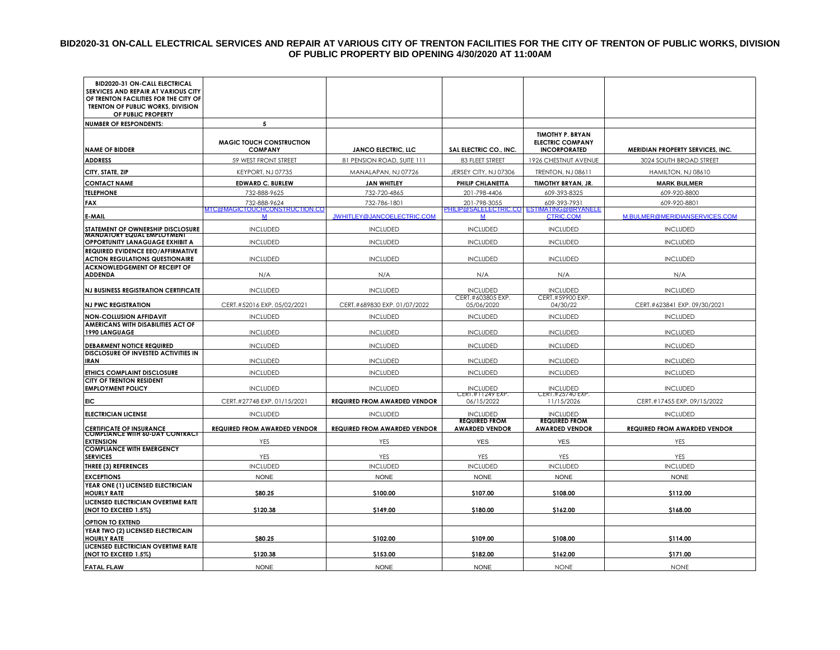#### **BID2020-31 ON-CALL ELECTRICAL SERVICES AND REPAIR AT VARIOUS CITY OF TRENTON FACILITIES FOR THE CITY OF TRENTON OF PUBLIC WORKS, DIVISION OF PUBLIC PROPERTY BID OPENING 4/30/2020 AT 11:00AM**

| BID2020-31 ON-CALL ELECTRICAL<br>SERVICES AND REPAIR AT VARIOUS CITY<br>OF TRENTON FACILITIES FOR THE CITY OF<br>TRENTON OF PUBLIC WORKS, DIVISION<br>OF PUBLIC PROPERTY |                                     |                                     |                                               |                                                               |                                     |
|--------------------------------------------------------------------------------------------------------------------------------------------------------------------------|-------------------------------------|-------------------------------------|-----------------------------------------------|---------------------------------------------------------------|-------------------------------------|
| <b>NUMBER OF RESPONDENTS:</b>                                                                                                                                            | 5                                   |                                     |                                               |                                                               |                                     |
|                                                                                                                                                                          | <b>MAGIC TOUCH CONSTRUCTION</b>     |                                     |                                               | <b>TIMOTHY P. BRYAN</b><br><b>ELECTRIC COMPANY</b>            |                                     |
| <b>NAME OF BIDDER</b>                                                                                                                                                    | <b>COMPANY</b>                      | <b>JANCO ELECTRIC, LLC</b>          | SAL ELECTRIC CO., INC.                        | <b>INCORPORATED</b>                                           | MERIDIAN PROPERTY SERVICES, INC.    |
| <b>ADDRESS</b>                                                                                                                                                           | 59 WEST FRONT STREET                | 81 PENSION ROAD, SUITE 111          | 83 FLEET STREET                               | 1926 CHESTNUT AVENUE                                          | 3024 SOUTH BROAD STREET             |
| CITY, STATE, ZIP                                                                                                                                                         | KEYPORT, NJ 07735                   | MANALAPAN, NJ 07726                 | JERSEY CITY, NJ 07306                         | <b>TRENTON, NJ 08611</b>                                      | HAMILTON, NJ 08610                  |
| <b>CONTACT NAME</b>                                                                                                                                                      | <b>EDWARD C. BURLEW</b>             | <b>JAN WHITLEY</b>                  | PHILIP CHLANETTA                              | TIMOTHY BRYAN, JR.                                            | <b>MARK BULMER</b>                  |
| <b>TELEPHONE</b>                                                                                                                                                         | 732-888-9625                        | 732-720-4865                        | 201-798-4406                                  | 609-393-8325                                                  | 609-920-8800                        |
| <b>FAX</b>                                                                                                                                                               | 732-888-9624                        | 732-786-1801                        | 201-798-3055                                  | 609-393-7931                                                  | 609-920-8801                        |
| <b>E-MAIL</b>                                                                                                                                                            | ATC@MAGICTOUCHCONSTRUCTION.CO<br>M  | JWHITLEY@JANCOELECTRIC.COM          | M                                             | PHILIP@SALELECTRIC.CO ESTIMATING@BRYANELE<br><b>CTRIC.COM</b> | M.BULMER@MERIDIANSERVICES.COM       |
| STATEMENT OF OWNERSHIP DISCLOSURE                                                                                                                                        | <b>INCLUDED</b>                     | <b>INCLUDED</b>                     | <b>INCLUDED</b>                               | <b>INCLUDED</b>                                               | <b>INCLUDED</b>                     |
| <b>MANDATORY EQUAL EMPLOYMENT</b><br>OPPORTUNITY LANAGUAGE EXHIBIT A                                                                                                     | <b>INCLUDED</b>                     | <b>INCLUDED</b>                     | <b>INCLUDED</b>                               | <b>INCLUDED</b>                                               | <b>INCLUDED</b>                     |
| REQUIRED EVIDENCE EEO/AFFIRMATIVE<br><b>ACTION REGULATIONS QUESTIONAIRE</b>                                                                                              | <b>INCLUDED</b>                     | <b>INCLUDED</b>                     | <b>INCLUDED</b>                               | <b>INCLUDED</b>                                               | <b>INCLUDED</b>                     |
| <b>ACKNOWLEDGEMENT OF RECEIPT OF</b><br><b>ADDENDA</b>                                                                                                                   | N/A                                 | N/A                                 | N/A                                           | N/A                                                           | N/A                                 |
| <b>NJ BUSINESS REGISTRATION CERTIFICATE</b>                                                                                                                              | <b>INCLUDED</b>                     | <b>INCLUDED</b>                     | <b>INCLUDED</b>                               | <b>INCLUDED</b>                                               | <b>INCLUDED</b>                     |
| <b>NJ PWC REGISTRATION</b>                                                                                                                                               | CERT.#52016 EXP. 05/02/2021         | CERT.#689830 EXP. 01/07/2022        | CERT.#603805 EXP.<br>05/06/2020               | CERT.#59900 EXP.<br>04/30/22                                  | CERT.#623841 EXP. 09/30/2021        |
| <b>NON-COLLUSION AFFIDAVIT</b>                                                                                                                                           | <b>INCLUDED</b>                     | <b>INCLUDED</b>                     | <b>INCLUDED</b>                               | <b>INCLUDED</b>                                               | <b>INCLUDED</b>                     |
| AMERICANS WITH DISABILITIES ACT OF<br><b>1990 LANGUAGE</b>                                                                                                               | <b>INCLUDED</b>                     | <b>INCLUDED</b>                     | <b>INCLUDED</b>                               | <b>INCLUDED</b>                                               | <b>INCLUDED</b>                     |
| <b>DEBARMENT NOTICE REQUIRED</b>                                                                                                                                         | <b>INCLUDED</b>                     | <b>INCLUDED</b>                     | <b>INCLUDED</b>                               | <b>INCLUDED</b>                                               | <b>INCLUDED</b>                     |
| DISCLOSURE OF INVESTED ACTIVITIES IN<br><b>IRAN</b>                                                                                                                      | <b>INCLUDED</b>                     | <b>INCLUDED</b>                     | <b>INCLUDED</b>                               | <b>INCLUDED</b>                                               | <b>INCLUDED</b>                     |
| ETHICS COMPLAINT DISCLOSURE                                                                                                                                              | <b>INCLUDED</b>                     | <b>INCLUDED</b>                     | <b>INCLUDED</b>                               | <b>INCLUDED</b>                                               | <b>INCLUDED</b>                     |
| <b>CITY OF TRENTON RESIDENT</b><br><b>EMPLOYMENT POLICY</b>                                                                                                              | <b>INCLUDED</b>                     | <b>INCLUDED</b>                     | <b>INCLUDED</b><br>CER1.#11249 EXP.           | <b>INCLUDED</b><br>CER1.#25/40 EXP.                           | <b>INCLUDED</b>                     |
| <b>EIC</b>                                                                                                                                                               | CERT.#27748 EXP. 01/15/2021         | <b>REQUIRED FROM AWARDED VENDOR</b> | 06/15/2022                                    | 11/15/2026                                                    | CERT.#17455 EXP. 09/15/2022         |
| <b>ELECTRICIAN LICENSE</b>                                                                                                                                               | <b>INCLUDED</b>                     | <b>INCLUDED</b>                     | <b>INCLUDED</b>                               | <b>INCLUDED</b>                                               | <b>INCLUDED</b>                     |
| <b>CERTIFICATE OF INSURANCE</b>                                                                                                                                          | <b>REQUIRED FROM AWARDED VENDOR</b> | <b>REQUIRED FROM AWARDED VENDOR</b> | <b>REQUIRED FROM</b><br><b>AWARDED VENDOR</b> | <b>REQUIRED FROM</b><br><b>AWARDED VENDOR</b>                 | <b>REQUIRED FROM AWARDED VENDOR</b> |
| <b>COMPLIANCE WITH 60-DAY CONTRACT</b><br><b>EXTENSION</b>                                                                                                               | YES                                 | YES                                 | <b>YES</b>                                    | <b>YES</b>                                                    | YES                                 |
| <b>COMPLIANCE WITH EMERGENCY</b><br><b>SERVICES</b>                                                                                                                      | YES                                 | YES                                 | YES                                           | YES                                                           | YES                                 |
| <b>THREE (3) REFERENCES</b>                                                                                                                                              | <b>INCLUDED</b>                     | <b>INCLUDED</b>                     | <b>INCLUDED</b>                               | <b>INCLUDED</b>                                               | <b>INCLUDED</b>                     |
| <b>EXCEPTIONS</b>                                                                                                                                                        | <b>NONE</b>                         | <b>NONE</b>                         | <b>NONE</b>                                   | <b>NONE</b>                                                   | <b>NONE</b>                         |
| YEAR ONE (1) LICENSED ELECTRICIAN<br><b>HOURLY RATE</b>                                                                                                                  | \$80.25                             | \$100.00                            | \$107.00                                      | \$108.00                                                      | \$112.00                            |
| LICENSED ELECTRICIAN OVERTIME RATE<br>(NOT TO EXCEED 1.5%)                                                                                                               | \$120.38                            | \$149.00                            | \$180.00                                      | \$162.00                                                      | \$168.00                            |
| <b>OPTION TO EXTEND</b>                                                                                                                                                  |                                     |                                     |                                               |                                                               |                                     |
| YEAR TWO (2) LICENSED ELECTRICAIN                                                                                                                                        |                                     |                                     |                                               |                                                               |                                     |
| <b>HOURLY RATE</b>                                                                                                                                                       | \$80.25                             | \$102.00                            | \$109.00                                      | \$108.00                                                      | \$114.00                            |
| LICENSED ELECTRICIAN OVERTIME RATE<br>(NOT TO EXCEED 1.5%)                                                                                                               | \$120.38                            | \$153.00                            | \$182.00                                      | \$162.00                                                      | \$171.00                            |
| <b>FATAL FLAW</b>                                                                                                                                                        | <b>NONE</b>                         | <b>NONE</b>                         | <b>NONE</b>                                   | <b>NONE</b>                                                   | <b>NONE</b>                         |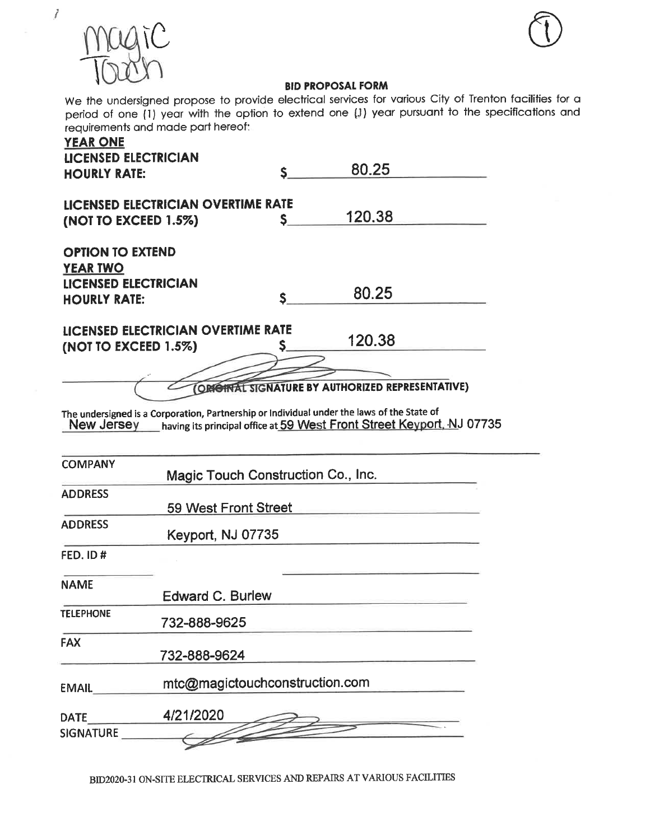

 $\mathcal{J}_{\mathcal{A}}$ 



## **BID PROPOSAL FORM**

We the undersigned propose to provide electrical services for various City of Trenton facilities for a period of one (1) year with the option to extend one (1) year pursuant to the specifications and requirements and made part hereof.

| <b>YEAR ONE</b><br><b>LICENSED ELECTRICIAN</b><br><b>HOURLY RATE:</b>                            |                                    | $S_{-}$ | 80.25                                                                                                                                                                                                                              |  |
|--------------------------------------------------------------------------------------------------|------------------------------------|---------|------------------------------------------------------------------------------------------------------------------------------------------------------------------------------------------------------------------------------------|--|
| (NOT TO EXCEED 1.5%)                                                                             | LICENSED ELECTRICIAN OVERTIME RATE | S.      | 120.38                                                                                                                                                                                                                             |  |
| <b>OPTION TO EXTEND</b><br><b>YEAR TWO</b><br><b>LICENSED ELECTRICIAN</b><br><b>HOURLY RATE:</b> |                                    | S.      | 80.25                                                                                                                                                                                                                              |  |
| (NOT TO EXCEED $1.5\%$ )                                                                         | LICENSED ELECTRICIAN OVERTIME RATE | S.      | 120.38                                                                                                                                                                                                                             |  |
|                                                                                                  |                                    |         | ORIGINAL SIGNATURE BY AUTHORIZED REPRESENTATIVE)<br>The undersigned is a Corporation, Partnership or Individual under the laws of the State of<br>New Jersey having its principal office at 59 West Front Street Keyport, NJ 07735 |  |
| <b>COMPANY</b>                                                                                   | Magic Touch Construction Co., Inc. |         |                                                                                                                                                                                                                                    |  |
| <b>ADDRESS</b>                                                                                   | 59 West Front Street               |         |                                                                                                                                                                                                                                    |  |
| <b>ADDRESS</b>                                                                                   | Keyport, NJ 07735                  |         |                                                                                                                                                                                                                                    |  |
| FED. ID#                                                                                         |                                    |         |                                                                                                                                                                                                                                    |  |
| <b>NAME</b>                                                                                      | <b>Edward C. Burlew</b>            |         |                                                                                                                                                                                                                                    |  |
| <b>TELEPHONE</b>                                                                                 | 732-888-9625                       |         |                                                                                                                                                                                                                                    |  |
| <b>FAX</b>                                                                                       | 732-888-9624                       |         |                                                                                                                                                                                                                                    |  |
| EMAIL <b>EMAIL</b>                                                                               | mtc@magictouchconstruction.com     |         |                                                                                                                                                                                                                                    |  |
| <b>DATE</b><br>SIGNATURE                                                                         | 4/21/2020                          |         |                                                                                                                                                                                                                                    |  |
|                                                                                                  |                                    |         |                                                                                                                                                                                                                                    |  |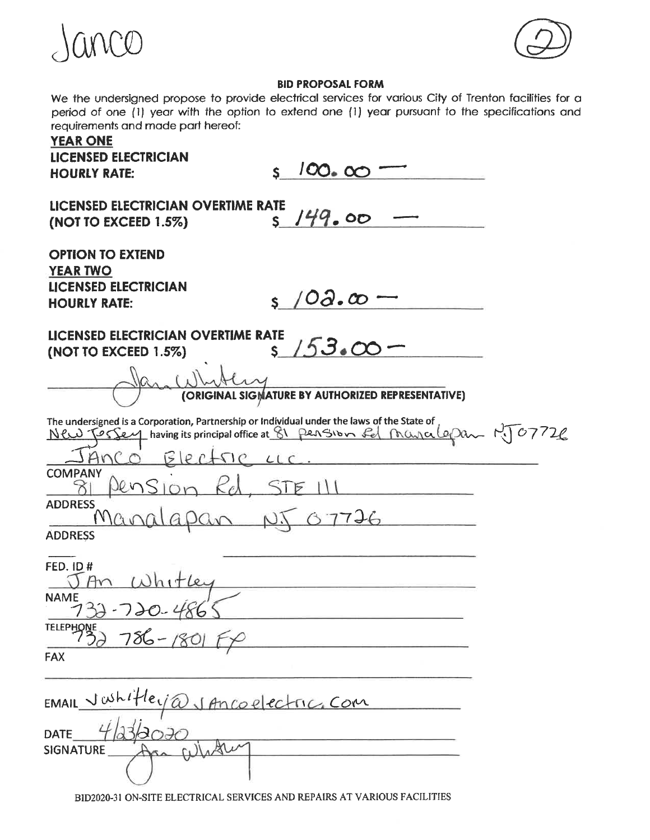



# **BID PROPOSAL FORM**

We the undersigned propose to provide electrical services for various City of Trenton facilities for a period of one (1) year with the option to extend one (1) year pursuant to the specifications and requirements and made part hereof:

| <b>YEAR ONE</b><br><b>LICENSED ELECTRICIAN</b><br>100.00<br>$\mathbf{S}$<br><b>HOURLY RATE:</b>                                                                                                |  |
|------------------------------------------------------------------------------------------------------------------------------------------------------------------------------------------------|--|
| LICENSED ELECTRICIAN OVERTIME RATE<br>5149.00<br>(NOT TO EXCEED $1.5\%$ )                                                                                                                      |  |
| <b>OPTION TO EXTEND</b><br><b>YEAR TWO</b><br><b>LICENSED ELECTRICIAN</b><br>s $10a \cdot \infty$ -<br><b>HOURLY RATE:</b>                                                                     |  |
| LICENSED ELECTRICIAN OVERTIME RATE<br>$5/53.00 -$<br>(NOT TO EXCEED 1.5%)                                                                                                                      |  |
| (ORIGINAL SIGMATURE BY AUTHORIZED REPRESENTATIVE)                                                                                                                                              |  |
| The undersigned is a Corporation, Partnership or Individual under the laws of the State of<br>New Tossey having its principal office at 81 pension for Mayalopan MT07726<br>SANCO Blecture LLC |  |
| <b>COMPANY</b><br><b>STE III</b><br>Pension<br>$K_{\theta}$<br>81                                                                                                                              |  |
| <b>ADDRESS</b><br>7726<br>apan<br>MQnQ<br><b>ADDRESS</b>                                                                                                                                       |  |
| <b>FED. ID#</b><br>Whitler<br>An<br><b>NAME</b><br>$\cap$ $\cap$<br>$\sqrt{2}$                                                                                                                 |  |
| TELEPHONE 730-1801<br><b>FAX</b>                                                                                                                                                               |  |
| EMAILVwhiHeig@JAncoelectricCom                                                                                                                                                                 |  |
| <b>DATE</b><br><b>SIGNATURE</b>                                                                                                                                                                |  |
| BID2020-31 ON-SITE ELECTRICAL SERVICES AND REPAIRS AT VARIOUS FACILITIES                                                                                                                       |  |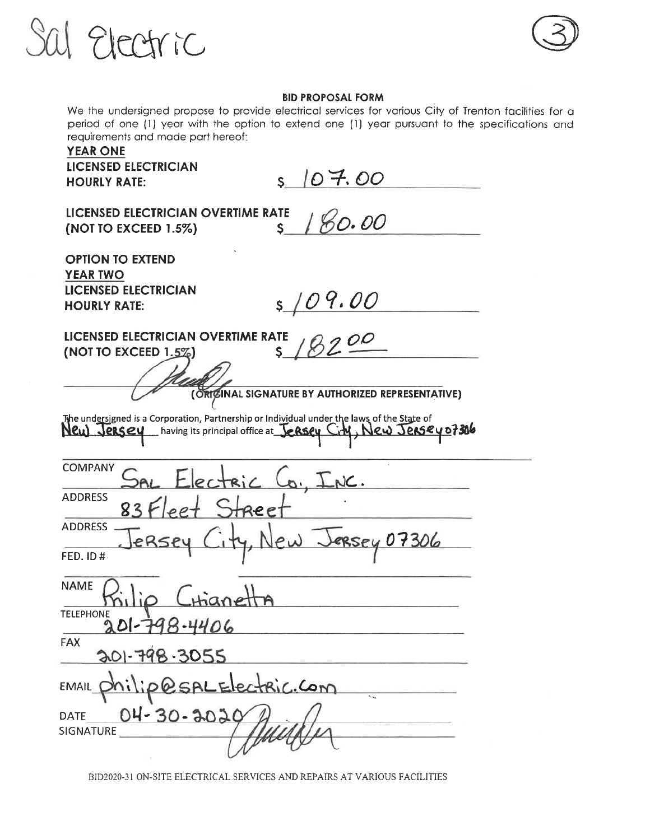



#### **BID PROPOSAL FORM**

We the undersigned propose to provide electrical services for various City of Trenton facilities for a period of one (1) year with the option to extend one (1) year pursuant to the specifications and requirements and made part hereof;

# **YEAR ONE** LICENSED ELECTRICIAN

**HOURLY RATE:** 

 $5107.00$ 

LICENSED ELECTRICIAN OVERTIME RATE (NOT TO EXCEED 1.5%)

180.00  $\mathsf{S}$ 

**OPTION TO EXTEND YEAR TWO LICENSED ELECTRICIAN HOURLY RATE:** 

 $s/09.00$ 

LICENSED ELECTRICIAN OVERTIME RATE (NOT TO EXCEED  $1.5\%$ ) S.

(ORIGINAL SIGNATURE BY AUTHORIZED REPRESENTATIVE)

The undersigned is a Corporation, Partnership or Individual under the laws of the State of New Jersey having its principal office at Jersey City, New Jersey 07306

| <b>COMPANY</b>                    | SAL Electric Co, INC.         |
|-----------------------------------|-------------------------------|
| <b>ADDRESS</b>                    | 83 Fleet Street               |
| <b>ADDRESS</b><br><b>FED. ID#</b> | JERSEY City, New JERSEY 07306 |
| <b>NAME</b>                       |                               |
| <b>TELEPHONE</b>                  | ilio Chanetta<br>201798-4406  |
| <b>FAX</b>                        | 201-798-3055                  |
|                                   | EMAIL philip@sALElectric.com  |
| <b>DATE</b><br><b>SIGNATURE</b>   | $04 - 30 - 3020$              |
|                                   |                               |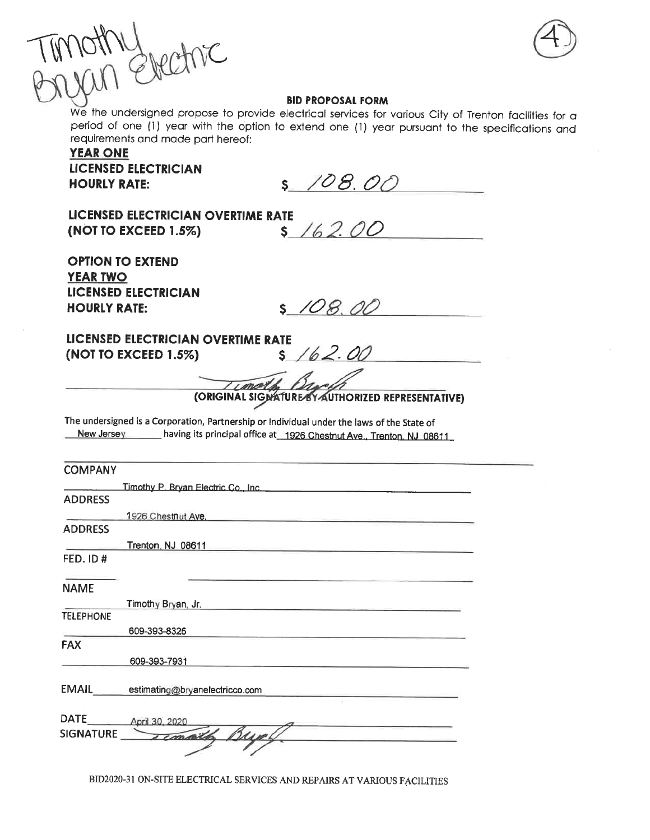

## **BID PROPOSAL FORM**

We the undersigned propose to provide electrical services for various City of Trenton facilities for a period of one (1) year with the option to extend one (1) year pursuant to the specifications and requirements and made part hereof:

**YEAR ONE LICENSED ELECTRICIAN HOURLY RATE:** 

\$ 108.00

LICENSED ELECTRICIAN OVERTIME RATE (NOT TO EXCEED 1.5%)

 $5/62.00$ 

**OPTION TO EXTEND YEAR TWO LICENSED ELECTRICIAN HOURLY RATE:** 

 $S$  108.00

LICENSED ELECTRICIAN OVERTIME RATE (NOT TO EXCEED 1.5%) S

(ORIGINAL SIGNATURE BY AUTHORIZED REPRESENTATIVE)

The undersigned is a Corporation, Partnership or Individual under the laws of the State of New Jersey having its principal office at 1926 Chestnut Ave., Trenton, NJ 08611

| <b>COMPANY</b>   |                                                                                                                                                                                                                                    |  |
|------------------|------------------------------------------------------------------------------------------------------------------------------------------------------------------------------------------------------------------------------------|--|
|                  |                                                                                                                                                                                                                                    |  |
| <b>ADDRESS</b>   | Timothy P. Bryan Electric Co., Inc. <b>Electric Co., Inc. Electric Co. 2014</b>                                                                                                                                                    |  |
|                  | 1926 Chestnut Ave. <b>Executive</b> Service Ave.                                                                                                                                                                                   |  |
| <b>ADDRESS</b>   |                                                                                                                                                                                                                                    |  |
|                  | <b>Trenton NJ 08611 Contract Contract Contract Contract Contract Contract Contract Contract Contract Contract Contract Contract Contract Contract Contract Contract Contract Contract Contract Contract Contract Contract Cont</b> |  |
| FED. ID#         |                                                                                                                                                                                                                                    |  |
| <b>NAME</b>      |                                                                                                                                                                                                                                    |  |
|                  | Timothy Bryan, Jr.                                                                                                                                                                                                                 |  |
| <b>TELEPHONE</b> |                                                                                                                                                                                                                                    |  |
|                  | 609-393-8325                                                                                                                                                                                                                       |  |
| <b>FAX</b>       |                                                                                                                                                                                                                                    |  |
|                  | 609-393-7931                                                                                                                                                                                                                       |  |
| <b>EMAIL</b>     | estimating@bryanelectricco.com                                                                                                                                                                                                     |  |
| DATE.            | April 30, 2020                                                                                                                                                                                                                     |  |
| <b>SIGNATURE</b> | Temaille Bunch                                                                                                                                                                                                                     |  |
|                  |                                                                                                                                                                                                                                    |  |